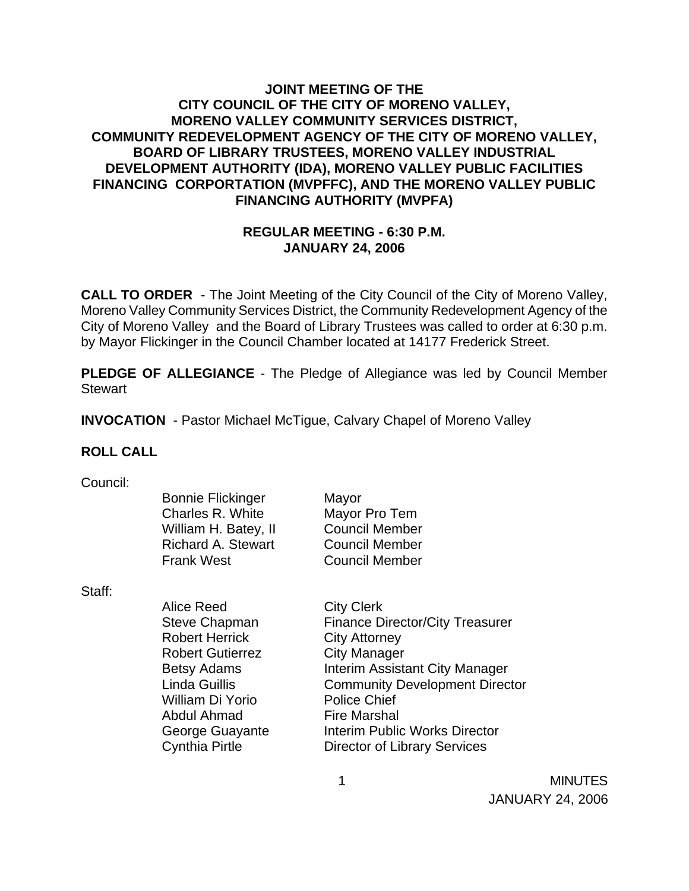## **JOINT MEETING OF THE CITY COUNCIL OF THE CITY OF MORENO VALLEY, MORENO VALLEY COMMUNITY SERVICES DISTRICT, COMMUNITY REDEVELOPMENT AGENCY OF THE CITY OF MORENO VALLEY, BOARD OF LIBRARY TRUSTEES, MORENO VALLEY INDUSTRIAL DEVELOPMENT AUTHORITY (IDA), MORENO VALLEY PUBLIC FACILITIES FINANCING CORPORTATION (MVPFFC), AND THE MORENO VALLEY PUBLIC FINANCING AUTHORITY (MVPFA)**

#### **REGULAR MEETING - 6:30 P.M. JANUARY 24, 2006**

**CALL TO ORDER** - The Joint Meeting of the City Council of the City of Moreno Valley, Moreno Valley Community Services District, the Community Redevelopment Agency of the City of Moreno Valley and the Board of Library Trustees was called to order at 6:30 p.m. by Mayor Flickinger in the Council Chamber located at 14177 Frederick Street.

**PLEDGE OF ALLEGIANCE** - The Pledge of Allegiance was led by Council Member **Stewart** 

**INVOCATION** - Pastor Michael McTigue, Calvary Chapel of Moreno Valley

#### **ROLL CALL**

| Council: |  |
|----------|--|
|          |  |
|          |  |

| UUUI IUII. |                           |                       |
|------------|---------------------------|-----------------------|
|            | <b>Bonnie Flickinger</b>  | Mayor                 |
|            | Charles R. White          | Mayor Pro Tem         |
|            | William H. Batey, II      | <b>Council Member</b> |
|            | <b>Richard A. Stewart</b> | <b>Council Member</b> |
|            | <b>Frank West</b>         | <b>Council Member</b> |

Staff:

| Alice Reed<br><b>Steve Chapman</b><br><b>Robert Herrick</b> | <b>City Clerk</b><br><b>Finance Director/City Treasurer</b> |
|-------------------------------------------------------------|-------------------------------------------------------------|
| <b>Robert Gutierrez</b>                                     | <b>City Attorney</b><br><b>City Manager</b>                 |
| <b>Betsy Adams</b>                                          | Interim Assistant City Manager                              |
| <b>Linda Guillis</b>                                        | <b>Community Development Director</b>                       |
| William Di Yorio                                            | <b>Police Chief</b>                                         |
| Abdul Ahmad                                                 | <b>Fire Marshal</b>                                         |
| George Guayante                                             | <b>Interim Public Works Director</b>                        |
| <b>Cynthia Pirtle</b>                                       | <b>Director of Library Services</b>                         |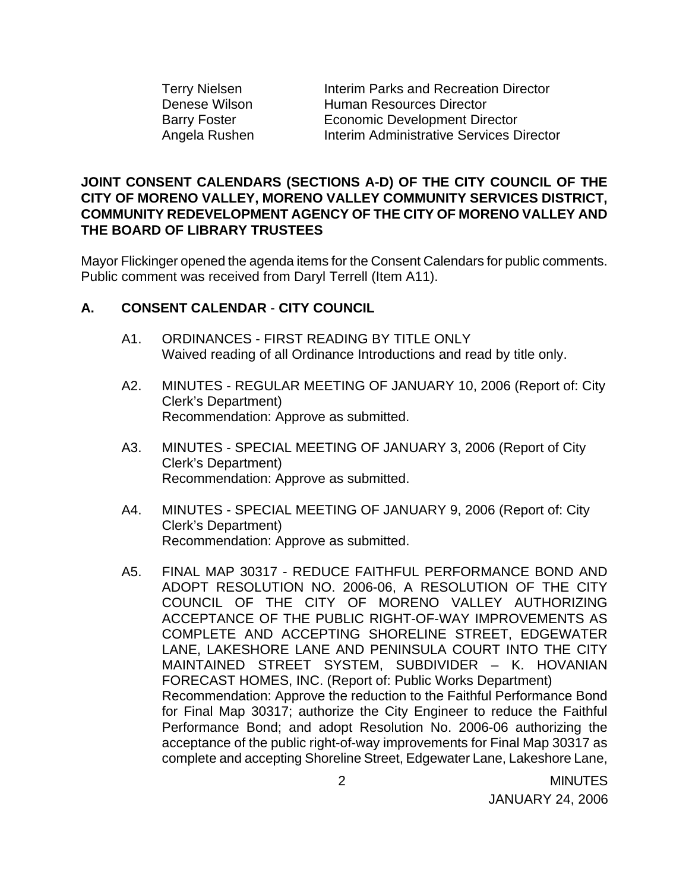| <b>Terry Nielsen</b> |
|----------------------|
| <b>Denese Wilson</b> |
| <b>Barry Foster</b>  |
| Angela Rushen        |

Interim Parks and Recreation Director Human Resources Director **Economic Development Director Interim Administrative Services Director** 

### **JOINT CONSENT CALENDARS (SECTIONS A-D) OF THE CITY COUNCIL OF THE CITY OF MORENO VALLEY, MORENO VALLEY COMMUNITY SERVICES DISTRICT, COMMUNITY REDEVELOPMENT AGENCY OF THE CITY OF MORENO VALLEY AND THE BOARD OF LIBRARY TRUSTEES**

Mayor Flickinger opened the agenda items for the Consent Calendars for public comments. Public comment was received from Daryl Terrell (Item A11).

## **A. CONSENT CALENDAR** - **CITY COUNCIL**

- A1. ORDINANCES FIRST READING BY TITLE ONLY Waived reading of all Ordinance Introductions and read by title only.
- A2. MINUTES REGULAR MEETING OF JANUARY 10, 2006 (Report of: City Clerk's Department) Recommendation: Approve as submitted.
- A3. MINUTES SPECIAL MEETING OF JANUARY 3, 2006 (Report of City Clerk's Department) Recommendation: Approve as submitted.
- A4. MINUTES SPECIAL MEETING OF JANUARY 9, 2006 (Report of: City Clerk's Department) Recommendation: Approve as submitted.
- A5. FINAL MAP 30317 REDUCE FAITHFUL PERFORMANCE BOND AND ADOPT RESOLUTION NO. 2006-06, A RESOLUTION OF THE CITY COUNCIL OF THE CITY OF MORENO VALLEY AUTHORIZING ACCEPTANCE OF THE PUBLIC RIGHT-OF-WAY IMPROVEMENTS AS COMPLETE AND ACCEPTING SHORELINE STREET, EDGEWATER LANE, LAKESHORE LANE AND PENINSULA COURT INTO THE CITY MAINTAINED STREET SYSTEM, SUBDIVIDER – K. HOVANIAN FORECAST HOMES, INC. (Report of: Public Works Department) Recommendation: Approve the reduction to the Faithful Performance Bond for Final Map 30317; authorize the City Engineer to reduce the Faithful Performance Bond; and adopt Resolution No. 2006-06 authorizing the acceptance of the public right-of-way improvements for Final Map 30317 as complete and accepting Shoreline Street, Edgewater Lane, Lakeshore Lane,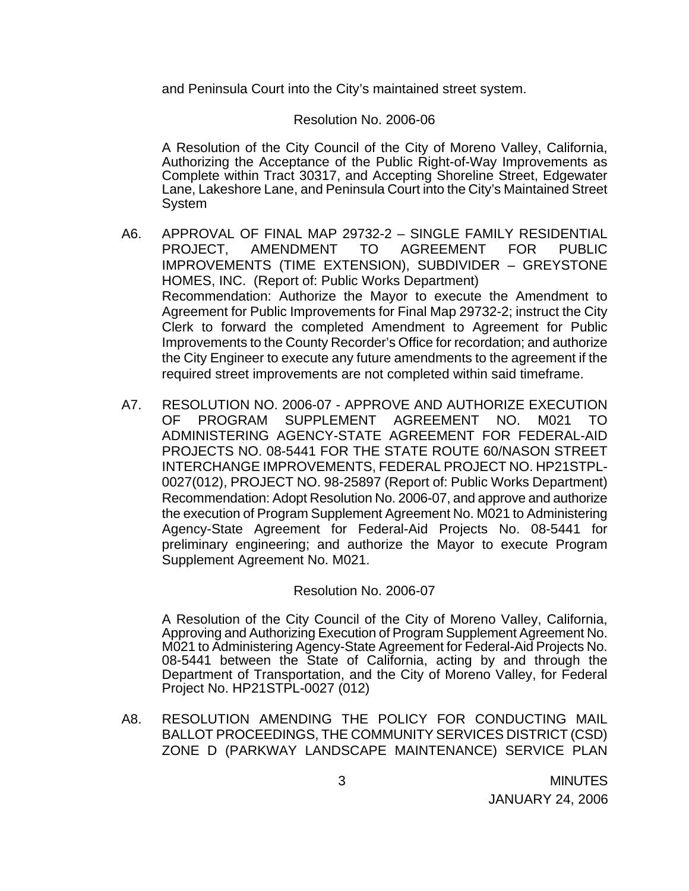and Peninsula Court into the City's maintained street system.

#### Resolution No. 2006-06

 A Resolution of the City Council of the City of Moreno Valley, California, Authorizing the Acceptance of the Public Right-of-Way Improvements as Complete within Tract 30317, and Accepting Shoreline Street, Edgewater Lane, Lakeshore Lane, and Peninsula Court into the City's Maintained Street **System** 

- A6. APPROVAL OF FINAL MAP 29732-2 SINGLE FAMILY RESIDENTIAL PROJECT, AMENDMENT TO AGREEMENT FOR PUBLIC IMPROVEMENTS (TIME EXTENSION), SUBDIVIDER – GREYSTONE HOMES, INC. (Report of: Public Works Department) Recommendation: Authorize the Mayor to execute the Amendment to Agreement for Public Improvements for Final Map 29732-2; instruct the City Clerk to forward the completed Amendment to Agreement for Public Improvements to the County Recorder's Office for recordation; and authorize the City Engineer to execute any future amendments to the agreement if the required street improvements are not completed within said timeframe.
- A7. RESOLUTION NO. 2006-07 APPROVE AND AUTHORIZE EXECUTION OF PROGRAM SUPPLEMENT AGREEMENT NO. M021 TO ADMINISTERING AGENCY-STATE AGREEMENT FOR FEDERAL-AID PROJECTS NO. 08-5441 FOR THE STATE ROUTE 60/NASON STREET INTERCHANGE IMPROVEMENTS, FEDERAL PROJECT NO. HP21STPL-0027(012), PROJECT NO. 98-25897 (Report of: Public Works Department) Recommendation: Adopt Resolution No. 2006-07, and approve and authorize the execution of Program Supplement Agreement No. M021 to Administering Agency-State Agreement for Federal-Aid Projects No. 08-5441 for preliminary engineering; and authorize the Mayor to execute Program Supplement Agreement No. M021.

#### Resolution No. 2006-07

 A Resolution of the City Council of the City of Moreno Valley, California, Approving and Authorizing Execution of Program Supplement Agreement No. M021 to Administering Agency-State Agreement for Federal-Aid Projects No. 08-5441 between the State of California, acting by and through the Department of Transportation, and the City of Moreno Valley, for Federal Project No. HP21STPL-0027 (012)

A8. RESOLUTION AMENDING THE POLICY FOR CONDUCTING MAIL BALLOT PROCEEDINGS, THE COMMUNITY SERVICES DISTRICT (CSD) ZONE D (PARKWAY LANDSCAPE MAINTENANCE) SERVICE PLAN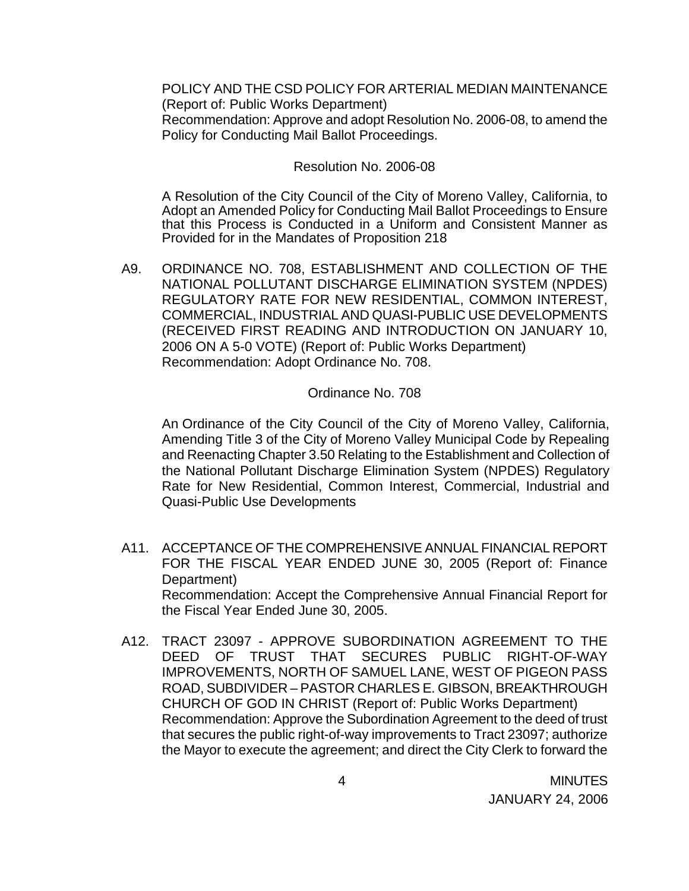POLICY AND THE CSD POLICY FOR ARTERIAL MEDIAN MAINTENANCE (Report of: Public Works Department) Recommendation: Approve and adopt Resolution No. 2006-08, to amend the Policy for Conducting Mail Ballot Proceedings.

#### Resolution No. 2006-08

A Resolution of the City Council of the City of Moreno Valley, California, to Adopt an Amended Policy for Conducting Mail Ballot Proceedings to Ensure that this Process is Conducted in a Uniform and Consistent Manner as Provided for in the Mandates of Proposition 218

A9. ORDINANCE NO. 708, ESTABLISHMENT AND COLLECTION OF THE NATIONAL POLLUTANT DISCHARGE ELIMINATION SYSTEM (NPDES) REGULATORY RATE FOR NEW RESIDENTIAL, COMMON INTEREST, COMMERCIAL, INDUSTRIAL AND QUASI-PUBLIC USE DEVELOPMENTS (RECEIVED FIRST READING AND INTRODUCTION ON JANUARY 10, 2006 ON A 5-0 VOTE) (Report of: Public Works Department) Recommendation: Adopt Ordinance No. 708.

#### Ordinance No. 708

 An Ordinance of the City Council of the City of Moreno Valley, California, Amending Title 3 of the City of Moreno Valley Municipal Code by Repealing and Reenacting Chapter 3.50 Relating to the Establishment and Collection of the National Pollutant Discharge Elimination System (NPDES) Regulatory Rate for New Residential, Common Interest, Commercial, Industrial and Quasi-Public Use Developments

- A11. ACCEPTANCE OF THE COMPREHENSIVE ANNUAL FINANCIAL REPORT FOR THE FISCAL YEAR ENDED JUNE 30, 2005 (Report of: Finance Department) Recommendation: Accept the Comprehensive Annual Financial Report for the Fiscal Year Ended June 30, 2005.
- A12. TRACT 23097 APPROVE SUBORDINATION AGREEMENT TO THE DEED OF TRUST THAT SECURES PUBLIC RIGHT-OF-WAY IMPROVEMENTS, NORTH OF SAMUEL LANE, WEST OF PIGEON PASS ROAD, SUBDIVIDER – PASTOR CHARLES E. GIBSON, BREAKTHROUGH CHURCH OF GOD IN CHRIST (Report of: Public Works Department) Recommendation: Approve the Subordination Agreement to the deed of trust that secures the public right-of-way improvements to Tract 23097; authorize the Mayor to execute the agreement; and direct the City Clerk to forward the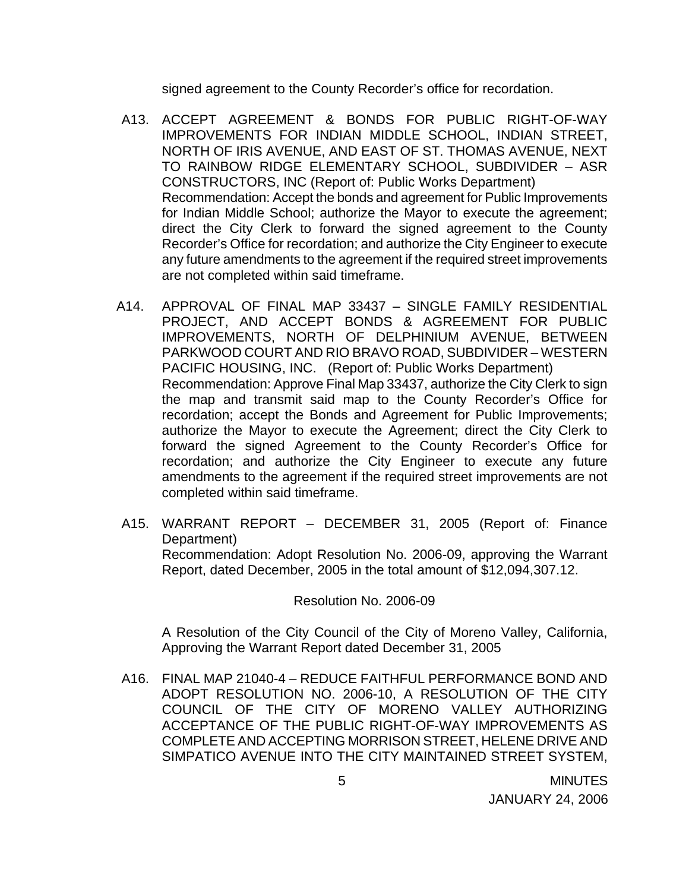signed agreement to the County Recorder's office for recordation.

- A13. ACCEPT AGREEMENT & BONDS FOR PUBLIC RIGHT-OF-WAY IMPROVEMENTS FOR INDIAN MIDDLE SCHOOL, INDIAN STREET, NORTH OF IRIS AVENUE, AND EAST OF ST. THOMAS AVENUE, NEXT TO RAINBOW RIDGE ELEMENTARY SCHOOL, SUBDIVIDER – ASR CONSTRUCTORS, INC (Report of: Public Works Department) Recommendation: Accept the bonds and agreement for Public Improvements for Indian Middle School; authorize the Mayor to execute the agreement; direct the City Clerk to forward the signed agreement to the County Recorder's Office for recordation; and authorize the City Engineer to execute any future amendments to the agreement if the required street improvements are not completed within said timeframe.
- A14. APPROVAL OF FINAL MAP 33437 SINGLE FAMILY RESIDENTIAL PROJECT, AND ACCEPT BONDS & AGREEMENT FOR PUBLIC IMPROVEMENTS, NORTH OF DELPHINIUM AVENUE, BETWEEN PARKWOOD COURT AND RIO BRAVO ROAD, SUBDIVIDER – WESTERN PACIFIC HOUSING, INC. (Report of: Public Works Department) Recommendation: Approve Final Map 33437, authorize the City Clerk to sign the map and transmit said map to the County Recorder's Office for recordation; accept the Bonds and Agreement for Public Improvements; authorize the Mayor to execute the Agreement; direct the City Clerk to forward the signed Agreement to the County Recorder's Office for recordation; and authorize the City Engineer to execute any future amendments to the agreement if the required street improvements are not completed within said timeframe.
- A15. WARRANT REPORT DECEMBER 31, 2005 (Report of: Finance Department) Recommendation: Adopt Resolution No. 2006-09, approving the Warrant Report, dated December, 2005 in the total amount of \$12,094,307.12.

#### Resolution No. 2006-09

A Resolution of the City Council of the City of Moreno Valley, California, Approving the Warrant Report dated December 31, 2005

A16. FINAL MAP 21040-4 – REDUCE FAITHFUL PERFORMANCE BOND AND ADOPT RESOLUTION NO. 2006-10, A RESOLUTION OF THE CITY COUNCIL OF THE CITY OF MORENO VALLEY AUTHORIZING ACCEPTANCE OF THE PUBLIC RIGHT-OF-WAY IMPROVEMENTS AS COMPLETE AND ACCEPTING MORRISON STREET, HELENE DRIVE AND SIMPATICO AVENUE INTO THE CITY MAINTAINED STREET SYSTEM,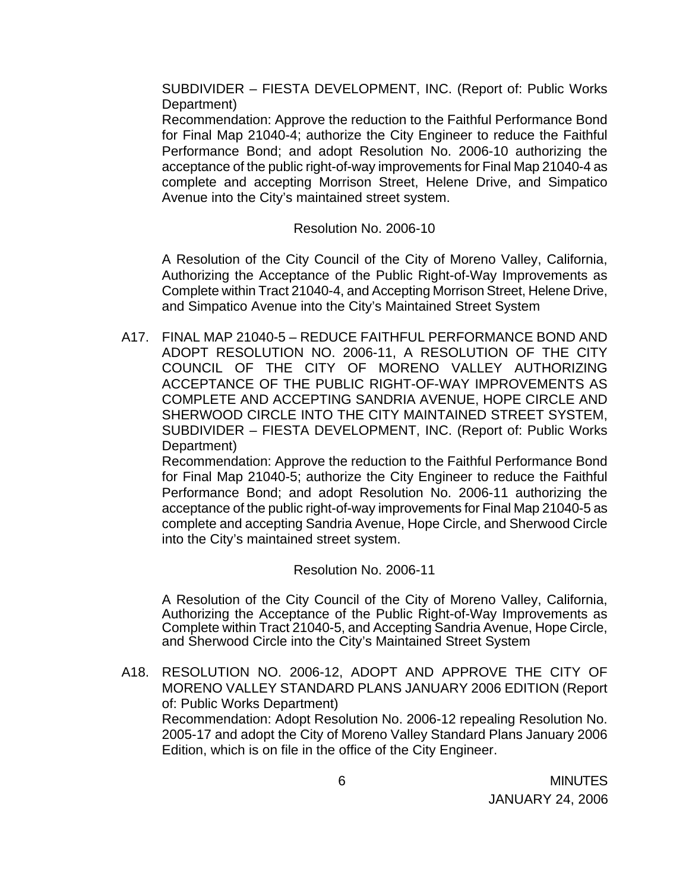SUBDIVIDER – FIESTA DEVELOPMENT, INC. (Report of: Public Works Department)

 Recommendation: Approve the reduction to the Faithful Performance Bond for Final Map 21040-4; authorize the City Engineer to reduce the Faithful Performance Bond; and adopt Resolution No. 2006-10 authorizing the acceptance of the public right-of-way improvements for Final Map 21040-4 as complete and accepting Morrison Street, Helene Drive, and Simpatico Avenue into the City's maintained street system.

### Resolution No. 2006-10

A Resolution of the City Council of the City of Moreno Valley, California, Authorizing the Acceptance of the Public Right-of-Way Improvements as Complete within Tract 21040-4, and Accepting Morrison Street, Helene Drive, and Simpatico Avenue into the City's Maintained Street System

A17. FINAL MAP 21040-5 – REDUCE FAITHFUL PERFORMANCE BOND AND ADOPT RESOLUTION NO. 2006-11, A RESOLUTION OF THE CITY COUNCIL OF THE CITY OF MORENO VALLEY AUTHORIZING ACCEPTANCE OF THE PUBLIC RIGHT-OF-WAY IMPROVEMENTS AS COMPLETE AND ACCEPTING SANDRIA AVENUE, HOPE CIRCLE AND SHERWOOD CIRCLE INTO THE CITY MAINTAINED STREET SYSTEM, SUBDIVIDER – FIESTA DEVELOPMENT, INC. (Report of: Public Works Department)

 Recommendation: Approve the reduction to the Faithful Performance Bond for Final Map 21040-5; authorize the City Engineer to reduce the Faithful Performance Bond; and adopt Resolution No. 2006-11 authorizing the acceptance of the public right-of-way improvements for Final Map 21040-5 as complete and accepting Sandria Avenue, Hope Circle, and Sherwood Circle into the City's maintained street system.

Resolution No. 2006-11

 A Resolution of the City Council of the City of Moreno Valley, California, Authorizing the Acceptance of the Public Right-of-Way Improvements as Complete within Tract 21040-5, and Accepting Sandria Avenue, Hope Circle, and Sherwood Circle into the City's Maintained Street System

A18. RESOLUTION NO. 2006-12, ADOPT AND APPROVE THE CITY OF MORENO VALLEY STANDARD PLANS JANUARY 2006 EDITION (Report of: Public Works Department) Recommendation: Adopt Resolution No. 2006-12 repealing Resolution No. 2005-17 and adopt the City of Moreno Valley Standard Plans January 2006 Edition, which is on file in the office of the City Engineer.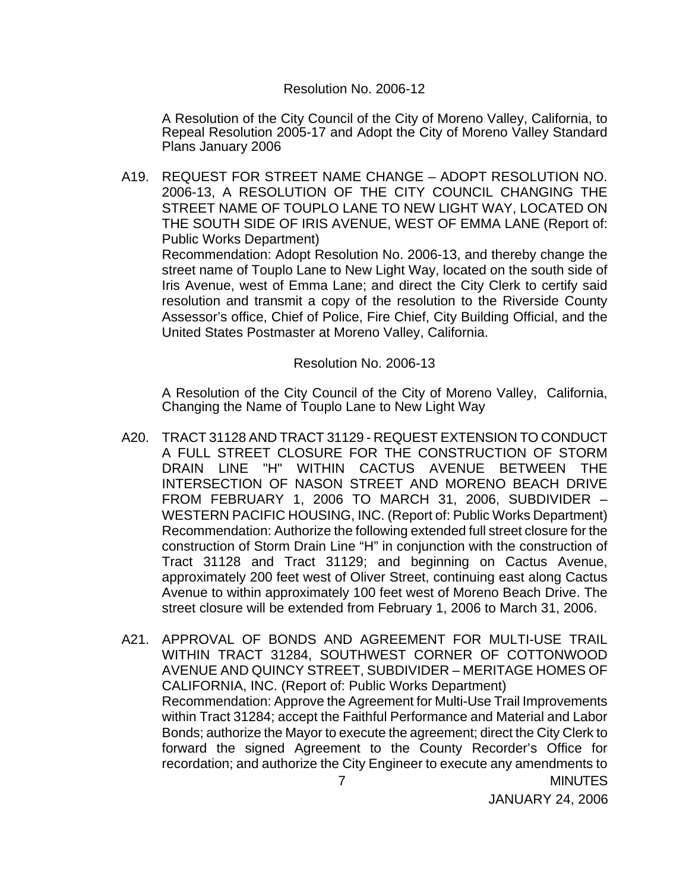#### Resolution No. 2006-12

 A Resolution of the City Council of the City of Moreno Valley, California, to Repeal Resolution 2005-17 and Adopt the City of Moreno Valley Standard Plans January 2006

A19. REQUEST FOR STREET NAME CHANGE – ADOPT RESOLUTION NO. 2006-13, A RESOLUTION OF THE CITY COUNCIL CHANGING THE STREET NAME OF TOUPLO LANE TO NEW LIGHT WAY, LOCATED ON THE SOUTH SIDE OF IRIS AVENUE, WEST OF EMMA LANE (Report of: Public Works Department)

 Recommendation: Adopt Resolution No. 2006-13, and thereby change the street name of Touplo Lane to New Light Way, located on the south side of Iris Avenue, west of Emma Lane; and direct the City Clerk to certify said resolution and transmit a copy of the resolution to the Riverside County Assessor's office, Chief of Police, Fire Chief, City Building Official, and the United States Postmaster at Moreno Valley, California.

#### Resolution No. 2006-13

A Resolution of the City Council of the City of Moreno Valley, California, Changing the Name of Touplo Lane to New Light Way

- A20. TRACT 31128 AND TRACT 31129 REQUEST EXTENSION TO CONDUCT A FULL STREET CLOSURE FOR THE CONSTRUCTION OF STORM DRAIN LINE "H" WITHIN CACTUS AVENUE BETWEEN THE INTERSECTION OF NASON STREET AND MORENO BEACH DRIVE FROM FEBRUARY 1, 2006 TO MARCH 31, 2006, SUBDIVIDER – WESTERN PACIFIC HOUSING, INC. (Report of: Public Works Department) Recommendation: Authorize the following extended full street closure for the construction of Storm Drain Line "H" in conjunction with the construction of Tract 31128 and Tract 31129; and beginning on Cactus Avenue, approximately 200 feet west of Oliver Street, continuing east along Cactus Avenue to within approximately 100 feet west of Moreno Beach Drive. The street closure will be extended from February 1, 2006 to March 31, 2006.
- 7 MINUTES A21. APPROVAL OF BONDS AND AGREEMENT FOR MULTI-USE TRAIL WITHIN TRACT 31284, SOUTHWEST CORNER OF COTTONWOOD AVENUE AND QUINCY STREET, SUBDIVIDER – MERITAGE HOMES OF CALIFORNIA, INC. (Report of: Public Works Department) Recommendation: Approve the Agreement for Multi-Use Trail Improvements within Tract 31284; accept the Faithful Performance and Material and Labor Bonds; authorize the Mayor to execute the agreement; direct the City Clerk to forward the signed Agreement to the County Recorder's Office for recordation; and authorize the City Engineer to execute any amendments to

JANUARY 24, 2006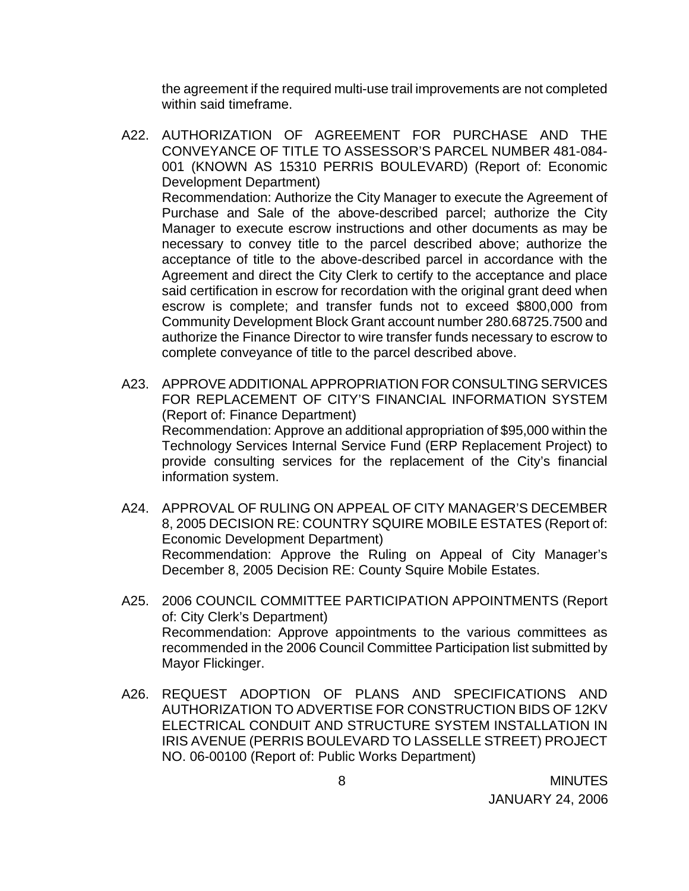the agreement if the required multi-use trail improvements are not completed within said timeframe.

- A22. AUTHORIZATION OF AGREEMENT FOR PURCHASE AND THE CONVEYANCE OF TITLE TO ASSESSOR'S PARCEL NUMBER 481-084- 001 (KNOWN AS 15310 PERRIS BOULEVARD) (Report of: Economic Development Department) Recommendation: Authorize the City Manager to execute the Agreement of Purchase and Sale of the above-described parcel; authorize the City Manager to execute escrow instructions and other documents as may be necessary to convey title to the parcel described above; authorize the acceptance of title to the above-described parcel in accordance with the Agreement and direct the City Clerk to certify to the acceptance and place said certification in escrow for recordation with the original grant deed when escrow is complete; and transfer funds not to exceed \$800,000 from Community Development Block Grant account number 280.68725.7500 and authorize the Finance Director to wire transfer funds necessary to escrow to complete conveyance of title to the parcel described above.
- A23. APPROVE ADDITIONAL APPROPRIATION FOR CONSULTING SERVICES FOR REPLACEMENT OF CITY'S FINANCIAL INFORMATION SYSTEM (Report of: Finance Department) Recommendation: Approve an additional appropriation of \$95,000 within the Technology Services Internal Service Fund (ERP Replacement Project) to provide consulting services for the replacement of the City's financial information system.
- A24. APPROVAL OF RULING ON APPEAL OF CITY MANAGER'S DECEMBER 8, 2005 DECISION RE: COUNTRY SQUIRE MOBILE ESTATES (Report of: Economic Development Department) Recommendation: Approve the Ruling on Appeal of City Manager's December 8, 2005 Decision RE: County Squire Mobile Estates.
- A25. 2006 COUNCIL COMMITTEE PARTICIPATION APPOINTMENTS (Report of: City Clerk's Department) Recommendation: Approve appointments to the various committees as recommended in the 2006 Council Committee Participation list submitted by Mayor Flickinger.
- A26. REQUEST ADOPTION OF PLANS AND SPECIFICATIONS AND AUTHORIZATION TO ADVERTISE FOR CONSTRUCTION BIDS OF 12KV ELECTRICAL CONDUIT AND STRUCTURE SYSTEM INSTALLATION IN IRIS AVENUE (PERRIS BOULEVARD TO LASSELLE STREET) PROJECT NO. 06-00100 (Report of: Public Works Department)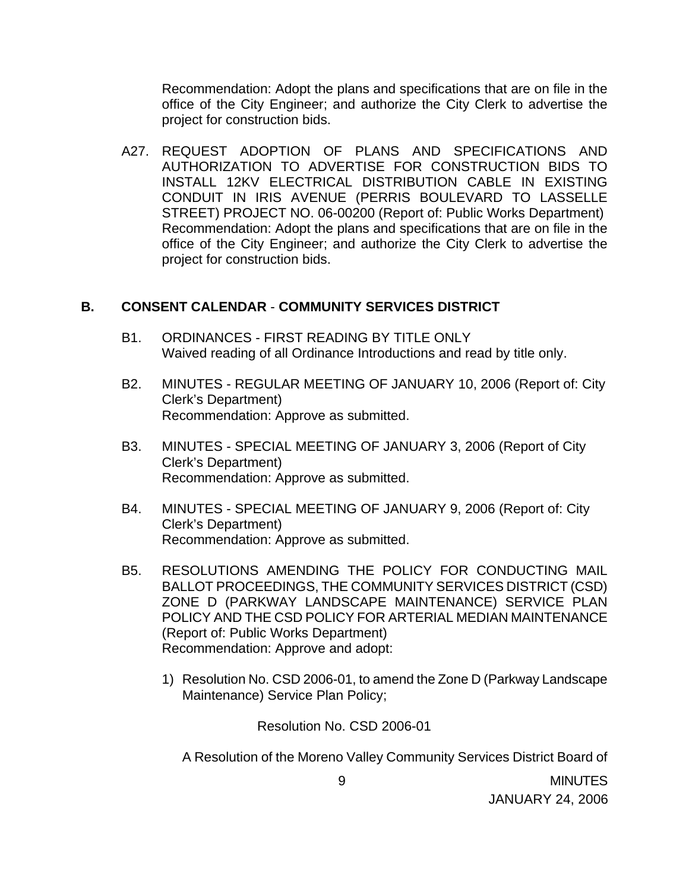Recommendation: Adopt the plans and specifications that are on file in the office of the City Engineer; and authorize the City Clerk to advertise the project for construction bids.

A27. REQUEST ADOPTION OF PLANS AND SPECIFICATIONS AND AUTHORIZATION TO ADVERTISE FOR CONSTRUCTION BIDS TO INSTALL 12KV ELECTRICAL DISTRIBUTION CABLE IN EXISTING CONDUIT IN IRIS AVENUE (PERRIS BOULEVARD TO LASSELLE STREET) PROJECT NO. 06-00200 (Report of: Public Works Department) Recommendation: Adopt the plans and specifications that are on file in the office of the City Engineer; and authorize the City Clerk to advertise the project for construction bids.

### **B. CONSENT CALENDAR** - **COMMUNITY SERVICES DISTRICT**

- B1. ORDINANCES FIRST READING BY TITLE ONLY Waived reading of all Ordinance Introductions and read by title only.
- B2. MINUTES REGULAR MEETING OF JANUARY 10, 2006 (Report of: City Clerk's Department) Recommendation: Approve as submitted.
- B3. MINUTES SPECIAL MEETING OF JANUARY 3, 2006 (Report of City Clerk's Department) Recommendation: Approve as submitted.
- B4. MINUTES SPECIAL MEETING OF JANUARY 9, 2006 (Report of: City Clerk's Department) Recommendation: Approve as submitted.
- B5. RESOLUTIONS AMENDING THE POLICY FOR CONDUCTING MAIL BALLOT PROCEEDINGS, THE COMMUNITY SERVICES DISTRICT (CSD) ZONE D (PARKWAY LANDSCAPE MAINTENANCE) SERVICE PLAN POLICY AND THE CSD POLICY FOR ARTERIAL MEDIAN MAINTENANCE (Report of: Public Works Department) Recommendation: Approve and adopt:
	- 1) Resolution No. CSD 2006-01, to amend the Zone D (Parkway Landscape Maintenance) Service Plan Policy;

Resolution No. CSD 2006-01

A Resolution of the Moreno Valley Community Services District Board of

 9 MINUTES JANUARY 24, 2006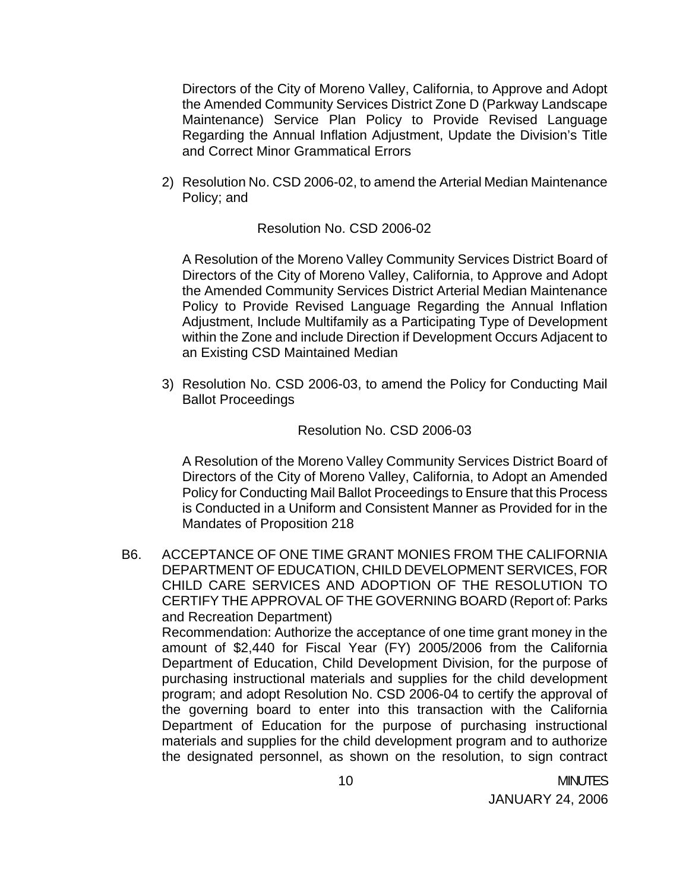Directors of the City of Moreno Valley, California, to Approve and Adopt the Amended Community Services District Zone D (Parkway Landscape Maintenance) Service Plan Policy to Provide Revised Language Regarding the Annual Inflation Adjustment, Update the Division's Title and Correct Minor Grammatical Errors

2) Resolution No. CSD 2006-02, to amend the Arterial Median Maintenance Policy; and

#### Resolution No. CSD 2006-02

 A Resolution of the Moreno Valley Community Services District Board of Directors of the City of Moreno Valley, California, to Approve and Adopt the Amended Community Services District Arterial Median Maintenance Policy to Provide Revised Language Regarding the Annual Inflation Adjustment, Include Multifamily as a Participating Type of Development within the Zone and include Direction if Development Occurs Adjacent to an Existing CSD Maintained Median

3) Resolution No. CSD 2006-03, to amend the Policy for Conducting Mail Ballot Proceedings

#### Resolution No. CSD 2006-03

A Resolution of the Moreno Valley Community Services District Board of Directors of the City of Moreno Valley, California, to Adopt an Amended Policy for Conducting Mail Ballot Proceedings to Ensure that this Process is Conducted in a Uniform and Consistent Manner as Provided for in the Mandates of Proposition 218

B6. ACCEPTANCE OF ONE TIME GRANT MONIES FROM THE CALIFORNIA DEPARTMENT OF EDUCATION, CHILD DEVELOPMENT SERVICES, FOR CHILD CARE SERVICES AND ADOPTION OF THE RESOLUTION TO CERTIFY THE APPROVAL OF THE GOVERNING BOARD (Report of: Parks and Recreation Department) Recommendation: Authorize the acceptance of one time grant money in the amount of \$2,440 for Fiscal Year (FY) 2005/2006 from the California Department of Education, Child Development Division, for the purpose of purchasing instructional materials and supplies for the child development program; and adopt Resolution No. CSD 2006-04 to certify the approval of the governing board to enter into this transaction with the California Department of Education for the purpose of purchasing instructional materials and supplies for the child development program and to authorize the designated personnel, as shown on the resolution, to sign contract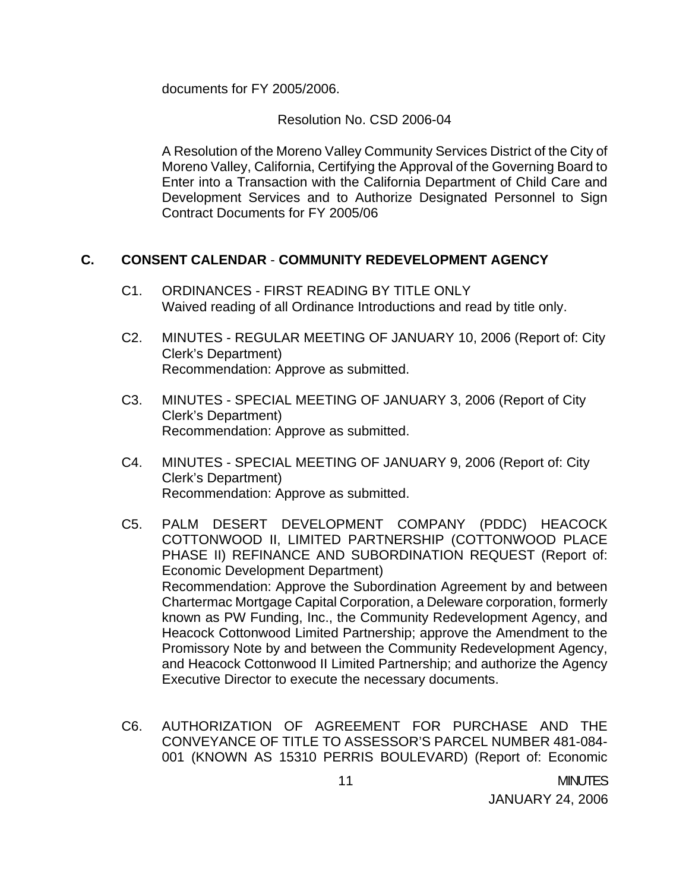documents for FY 2005/2006.

Resolution No. CSD 2006-04

A Resolution of the Moreno Valley Community Services District of the City of Moreno Valley, California, Certifying the Approval of the Governing Board to Enter into a Transaction with the California Department of Child Care and Development Services and to Authorize Designated Personnel to Sign Contract Documents for FY 2005/06

## **C. CONSENT CALENDAR** - **COMMUNITY REDEVELOPMENT AGENCY**

- C1. ORDINANCES FIRST READING BY TITLE ONLY Waived reading of all Ordinance Introductions and read by title only.
- C2. MINUTES REGULAR MEETING OF JANUARY 10, 2006 (Report of: City Clerk's Department) Recommendation: Approve as submitted.
- C3. MINUTES SPECIAL MEETING OF JANUARY 3, 2006 (Report of City Clerk's Department) Recommendation: Approve as submitted.
- C4. MINUTES SPECIAL MEETING OF JANUARY 9, 2006 (Report of: City Clerk's Department) Recommendation: Approve as submitted.
- C5. PALM DESERT DEVELOPMENT COMPANY (PDDC) HEACOCK COTTONWOOD II, LIMITED PARTNERSHIP (COTTONWOOD PLACE PHASE II) REFINANCE AND SUBORDINATION REQUEST (Report of: Economic Development Department) Recommendation: Approve the Subordination Agreement by and between Chartermac Mortgage Capital Corporation, a Deleware corporation, formerly known as PW Funding, Inc., the Community Redevelopment Agency, and Heacock Cottonwood Limited Partnership; approve the Amendment to the Promissory Note by and between the Community Redevelopment Agency, and Heacock Cottonwood II Limited Partnership; and authorize the Agency Executive Director to execute the necessary documents.
- C6. AUTHORIZATION OF AGREEMENT FOR PURCHASE AND THE CONVEYANCE OF TITLE TO ASSESSOR'S PARCEL NUMBER 481-084- 001 (KNOWN AS 15310 PERRIS BOULEVARD) (Report of: Economic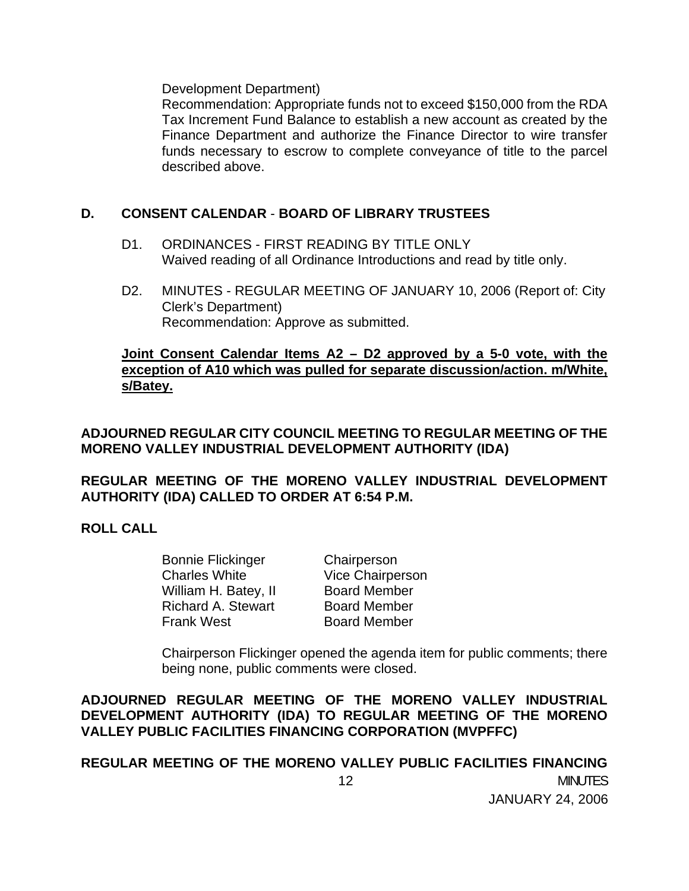Development Department)

 Recommendation: Appropriate funds not to exceed \$150,000 from the RDA Tax Increment Fund Balance to establish a new account as created by the Finance Department and authorize the Finance Director to wire transfer funds necessary to escrow to complete conveyance of title to the parcel described above.

## **D. CONSENT CALENDAR** - **BOARD OF LIBRARY TRUSTEES**

- D1. ORDINANCES FIRST READING BY TITLE ONLY Waived reading of all Ordinance Introductions and read by title only.
- D2. MINUTES REGULAR MEETING OF JANUARY 10, 2006 (Report of: City Clerk's Department) Recommendation: Approve as submitted.

## **Joint Consent Calendar Items A2 – D2 approved by a 5-0 vote, with the exception of A10 which was pulled for separate discussion/action. m/White, s/Batey.**

**ADJOURNED REGULAR CITY COUNCIL MEETING TO REGULAR MEETING OF THE MORENO VALLEY INDUSTRIAL DEVELOPMENT AUTHORITY (IDA)** 

**REGULAR MEETING OF THE MORENO VALLEY INDUSTRIAL DEVELOPMENT AUTHORITY (IDA) CALLED TO ORDER AT 6:54 P.M.**

## **ROLL CALL**

 Bonnie Flickinger Chairperson Charles White **Vice Chairperson** William H. Batey, II Board Member Richard A. Stewart Board Member Frank West Board Member

 Chairperson Flickinger opened the agenda item for public comments; there being none, public comments were closed.

**ADJOURNED REGULAR MEETING OF THE MORENO VALLEY INDUSTRIAL DEVELOPMENT AUTHORITY (IDA) TO REGULAR MEETING OF THE MORENO VALLEY PUBLIC FACILITIES FINANCING CORPORATION (MVPFFC)** 

 12 MINUTES JANUARY 24, 2006 **REGULAR MEETING OF THE MORENO VALLEY PUBLIC FACILITIES FINANCING**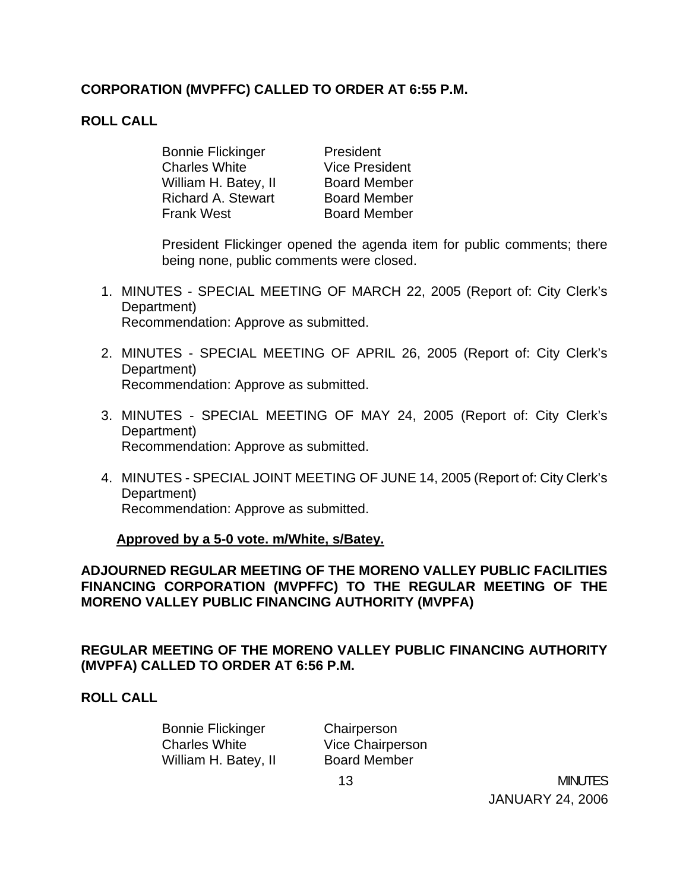# **CORPORATION (MVPFFC) CALLED TO ORDER AT 6:55 P.M.**

## **ROLL CALL**

Bonnie Flickinger President Charles White **Vice President** William H. Batey, II Board Member Richard A. Stewart Board Member Frank West Board Member

 President Flickinger opened the agenda item for public comments; there being none, public comments were closed.

- 1. MINUTES SPECIAL MEETING OF MARCH 22, 2005 (Report of: City Clerk's Department) Recommendation: Approve as submitted.
- 2. MINUTES SPECIAL MEETING OF APRIL 26, 2005 (Report of: City Clerk's Department) Recommendation: Approve as submitted.
- 3. MINUTES SPECIAL MEETING OF MAY 24, 2005 (Report of: City Clerk's Department) Recommendation: Approve as submitted.
- 4. MINUTES SPECIAL JOINT MEETING OF JUNE 14, 2005 (Report of: City Clerk's Department) Recommendation: Approve as submitted.

### **Approved by a 5-0 vote. m/White, s/Batey.**

**ADJOURNED REGULAR MEETING OF THE MORENO VALLEY PUBLIC FACILITIES FINANCING CORPORATION (MVPFFC) TO THE REGULAR MEETING OF THE MORENO VALLEY PUBLIC FINANCING AUTHORITY (MVPFA)** 

**REGULAR MEETING OF THE MORENO VALLEY PUBLIC FINANCING AUTHORITY (MVPFA) CALLED TO ORDER AT 6:56 P.M.** 

### **ROLL CALL**

 Bonnie Flickinger Chairperson Charles White **Vice Chairperson** William H. Batey, II Board Member

 13 MINUTES JANUARY 24, 2006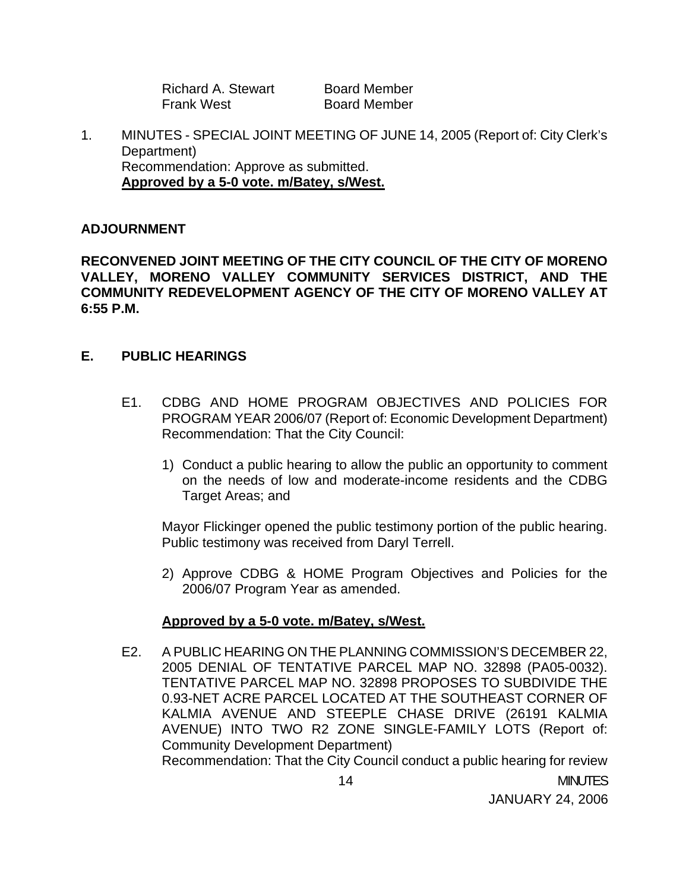| Richard A. Stewart | <b>Board Member</b> |
|--------------------|---------------------|
| <b>Frank West</b>  | <b>Board Member</b> |

1. MINUTES - SPECIAL JOINT MEETING OF JUNE 14, 2005 (Report of: City Clerk's Department) Recommendation: Approve as submitted.  **Approved by a 5-0 vote. m/Batey, s/West.**

#### **ADJOURNMENT**

**RECONVENED JOINT MEETING OF THE CITY COUNCIL OF THE CITY OF MORENO VALLEY, MORENO VALLEY COMMUNITY SERVICES DISTRICT, AND THE COMMUNITY REDEVELOPMENT AGENCY OF THE CITY OF MORENO VALLEY AT 6:55 P.M.** 

#### **E. PUBLIC HEARINGS**

- E1. CDBG AND HOME PROGRAM OBJECTIVES AND POLICIES FOR PROGRAM YEAR 2006/07 (Report of: Economic Development Department) Recommendation: That the City Council:
	- 1) Conduct a public hearing to allow the public an opportunity to comment on the needs of low and moderate-income residents and the CDBG Target Areas; and

 Mayor Flickinger opened the public testimony portion of the public hearing. Public testimony was received from Daryl Terrell.

2) Approve CDBG & HOME Program Objectives and Policies for the 2006/07 Program Year as amended.

#### **Approved by a 5-0 vote. m/Batey, s/West.**

E2. A PUBLIC HEARING ON THE PLANNING COMMISSION'S DECEMBER 22, 2005 DENIAL OF TENTATIVE PARCEL MAP NO. 32898 (PA05-0032). TENTATIVE PARCEL MAP NO. 32898 PROPOSES TO SUBDIVIDE THE 0.93-NET ACRE PARCEL LOCATED AT THE SOUTHEAST CORNER OF KALMIA AVENUE AND STEEPLE CHASE DRIVE (26191 KALMIA AVENUE) INTO TWO R2 ZONE SINGLE-FAMILY LOTS (Report of: Community Development Department) Recommendation: That the City Council conduct a public hearing for review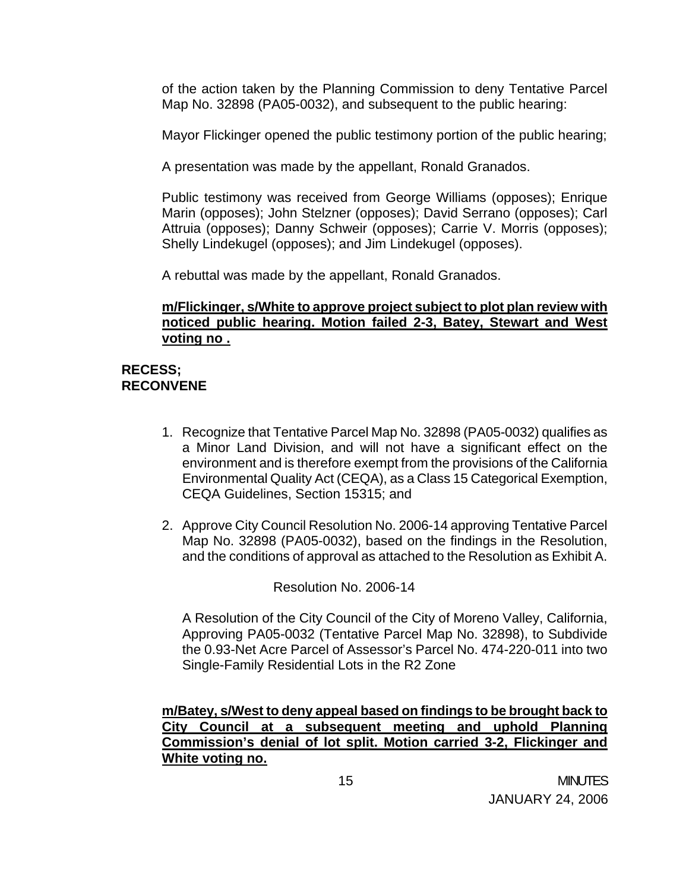of the action taken by the Planning Commission to deny Tentative Parcel Map No. 32898 (PA05-0032), and subsequent to the public hearing:

Mayor Flickinger opened the public testimony portion of the public hearing;

A presentation was made by the appellant, Ronald Granados.

 Public testimony was received from George Williams (opposes); Enrique Marin (opposes); John Stelzner (opposes); David Serrano (opposes); Carl Attruia (opposes); Danny Schweir (opposes); Carrie V. Morris (opposes); Shelly Lindekugel (opposes); and Jim Lindekugel (opposes).

A rebuttal was made by the appellant, Ronald Granados.

### **m/Flickinger, s/White to approve project subject to plot plan review with noticed public hearing. Motion failed 2-3, Batey, Stewart and West voting no .**

## **RECESS; RECONVENE**

- 1. Recognize that Tentative Parcel Map No. 32898 (PA05-0032) qualifies as a Minor Land Division, and will not have a significant effect on the environment and is therefore exempt from the provisions of the California Environmental Quality Act (CEQA), as a Class 15 Categorical Exemption, CEQA Guidelines, Section 15315; and
- 2. Approve City Council Resolution No. 2006-14 approving Tentative Parcel Map No. 32898 (PA05-0032), based on the findings in the Resolution, and the conditions of approval as attached to the Resolution as Exhibit A.

Resolution No. 2006-14

A Resolution of the City Council of the City of Moreno Valley, California, Approving PA05-0032 (Tentative Parcel Map No. 32898), to Subdivide the 0.93-Net Acre Parcel of Assessor's Parcel No. 474-220-011 into two Single-Family Residential Lots in the R2 Zone

 **m/Batey, s/West to deny appeal based on findings to be brought back to City Council at a subsequent meeting and uphold Planning Commission's denial of lot split. Motion carried 3-2, Flickinger and White voting no.**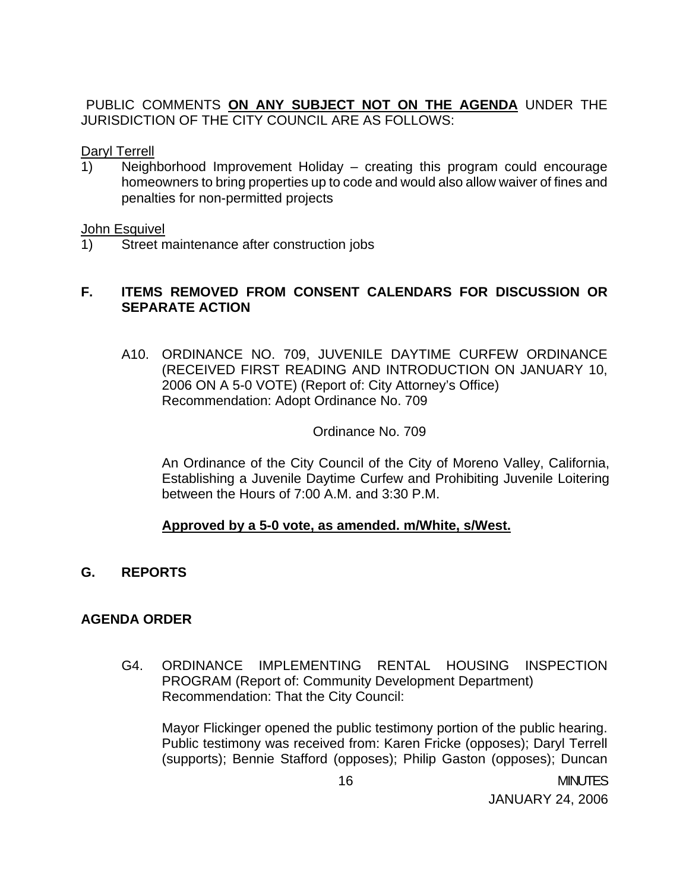PUBLIC COMMENTS **ON ANY SUBJECT NOT ON THE AGENDA** UNDER THE JURISDICTION OF THE CITY COUNCIL ARE AS FOLLOWS:

Daryl Terrell

1) Neighborhood Improvement Holiday – creating this program could encourage homeowners to bring properties up to code and would also allow waiver of fines and penalties for non-permitted projects

#### John Esquivel

1) Street maintenance after construction jobs

## **F. ITEMS REMOVED FROM CONSENT CALENDARS FOR DISCUSSION OR SEPARATE ACTION**

A10. ORDINANCE NO. 709, JUVENILE DAYTIME CURFEW ORDINANCE (RECEIVED FIRST READING AND INTRODUCTION ON JANUARY 10, 2006 ON A 5-0 VOTE) (Report of: City Attorney's Office) Recommendation: Adopt Ordinance No. 709

### Ordinance No. 709

 An Ordinance of the City Council of the City of Moreno Valley, California, Establishing a Juvenile Daytime Curfew and Prohibiting Juvenile Loitering between the Hours of 7:00 A.M. and 3:30 P.M.

## **Approved by a 5-0 vote, as amended. m/White, s/West.**

**G. REPORTS**

## **AGENDA ORDER**

G4. ORDINANCE IMPLEMENTING RENTAL HOUSING INSPECTION PROGRAM (Report of: Community Development Department) Recommendation: That the City Council:

Mayor Flickinger opened the public testimony portion of the public hearing. Public testimony was received from: Karen Fricke (opposes); Daryl Terrell (supports); Bennie Stafford (opposes); Philip Gaston (opposes); Duncan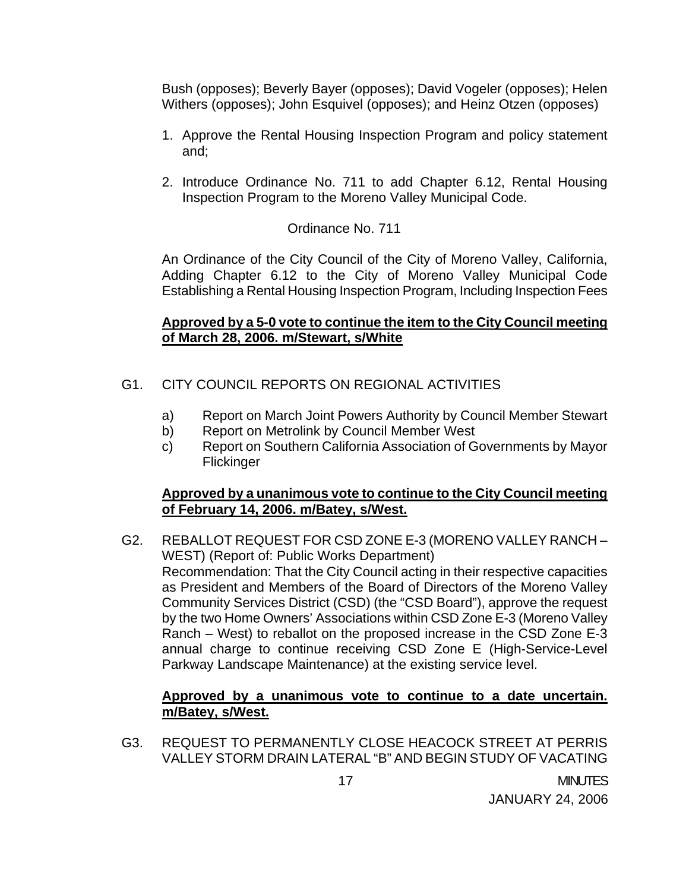Bush (opposes); Beverly Bayer (opposes); David Vogeler (opposes); Helen Withers (opposes); John Esquivel (opposes); and Heinz Otzen (opposes)

- 1. Approve the Rental Housing Inspection Program and policy statement and;
- 2. Introduce Ordinance No. 711 to add Chapter 6.12, Rental Housing Inspection Program to the Moreno Valley Municipal Code.

### Ordinance No. 711

 An Ordinance of the City Council of the City of Moreno Valley, California, Adding Chapter 6.12 to the City of Moreno Valley Municipal Code Establishing a Rental Housing Inspection Program, Including Inspection Fees

### **Approved by a 5-0 vote to continue the item to the City Council meeting of March 28, 2006. m/Stewart, s/White**

- G1. CITY COUNCIL REPORTS ON REGIONAL ACTIVITIES
	- a) Report on March Joint Powers Authority by Council Member Stewart
	- b) Report on Metrolink by Council Member West
	- c) Report on Southern California Association of Governments by Mayor **Flickinger**

### **Approved by a unanimous vote to continue to the City Council meeting of February 14, 2006. m/Batey, s/West.**

G2. REBALLOT REQUEST FOR CSD ZONE E-3 (MORENO VALLEY RANCH – WEST) (Report of: Public Works Department) Recommendation: That the City Council acting in their respective capacities as President and Members of the Board of Directors of the Moreno Valley Community Services District (CSD) (the "CSD Board"), approve the request by the two Home Owners' Associations within CSD Zone E-3 (Moreno Valley Ranch – West) to reballot on the proposed increase in the CSD Zone E-3 annual charge to continue receiving CSD Zone E (High-Service-Level Parkway Landscape Maintenance) at the existing service level.

#### **Approved by a unanimous vote to continue to a date uncertain. m/Batey, s/West.**

G3. REQUEST TO PERMANENTLY CLOSE HEACOCK STREET AT PERRIS VALLEY STORM DRAIN LATERAL "B" AND BEGIN STUDY OF VACATING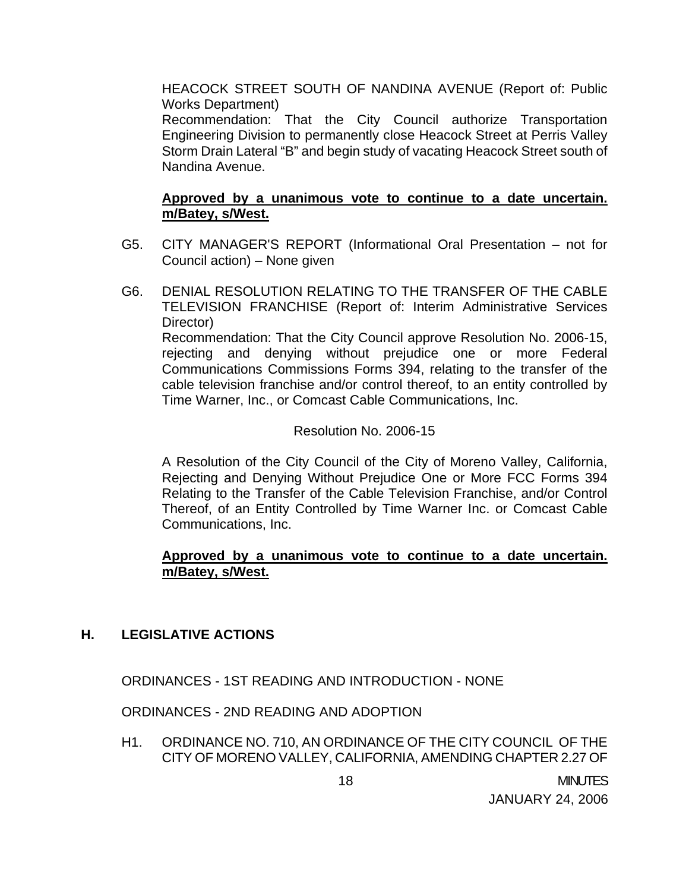HEACOCK STREET SOUTH OF NANDINA AVENUE (Report of: Public Works Department)

 Recommendation: That the City Council authorize Transportation Engineering Division to permanently close Heacock Street at Perris Valley Storm Drain Lateral "B" and begin study of vacating Heacock Street south of Nandina Avenue.

## **Approved by a unanimous vote to continue to a date uncertain. m/Batey, s/West.**

- G5. CITY MANAGER'S REPORT (Informational Oral Presentation not for Council action) – None given
- G6. DENIAL RESOLUTION RELATING TO THE TRANSFER OF THE CABLE TELEVISION FRANCHISE (Report of: Interim Administrative Services Director) Recommendation: That the City Council approve Resolution No. 2006-15, rejecting and denying without prejudice one or more Federal Communications Commissions Forms 394, relating to the transfer of the cable television franchise and/or control thereof, to an entity controlled by Time Warner, Inc., or Comcast Cable Communications, Inc.

### Resolution No. 2006-15

 A Resolution of the City Council of the City of Moreno Valley, California, Rejecting and Denying Without Prejudice One or More FCC Forms 394 Relating to the Transfer of the Cable Television Franchise, and/or Control Thereof, of an Entity Controlled by Time Warner Inc. or Comcast Cable Communications, Inc.

### **Approved by a unanimous vote to continue to a date uncertain. m/Batey, s/West.**

### **H. LEGISLATIVE ACTIONS**

ORDINANCES - 1ST READING AND INTRODUCTION - NONE

ORDINANCES - 2ND READING AND ADOPTION

H1. ORDINANCE NO. 710, AN ORDINANCE OF THE CITY COUNCIL OF THE CITY OF MORENO VALLEY, CALIFORNIA, AMENDING CHAPTER 2.27 OF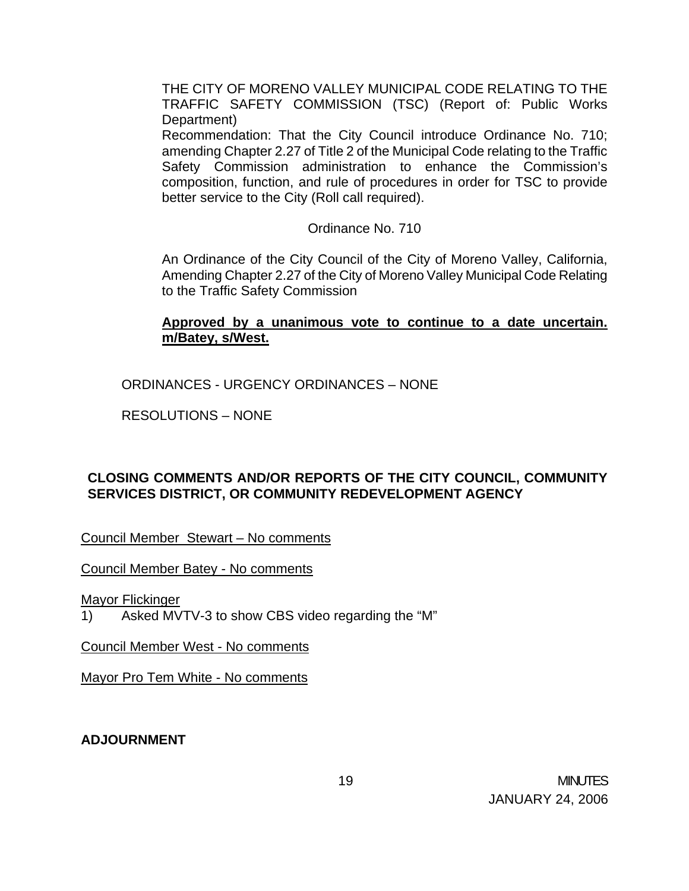THE CITY OF MORENO VALLEY MUNICIPAL CODE RELATING TO THE TRAFFIC SAFETY COMMISSION (TSC) (Report of: Public Works Department)

 Recommendation: That the City Council introduce Ordinance No. 710; amending Chapter 2.27 of Title 2 of the Municipal Code relating to the Traffic Safety Commission administration to enhance the Commission's composition, function, and rule of procedures in order for TSC to provide better service to the City (Roll call required).

Ordinance No. 710

 An Ordinance of the City Council of the City of Moreno Valley, California, Amending Chapter 2.27 of the City of Moreno Valley Municipal Code Relating to the Traffic Safety Commission

## **Approved by a unanimous vote to continue to a date uncertain. m/Batey, s/West.**

ORDINANCES - URGENCY ORDINANCES – NONE

RESOLUTIONS – NONE

# **CLOSING COMMENTS AND/OR REPORTS OF THE CITY COUNCIL, COMMUNITY SERVICES DISTRICT, OR COMMUNITY REDEVELOPMENT AGENCY**

Council Member Stewart – No comments

Council Member Batey - No comments

Mayor Flickinger

1) Asked MVTV-3 to show CBS video regarding the "M"

Council Member West - No comments

Mayor Pro Tem White - No comments

**ADJOURNMENT**